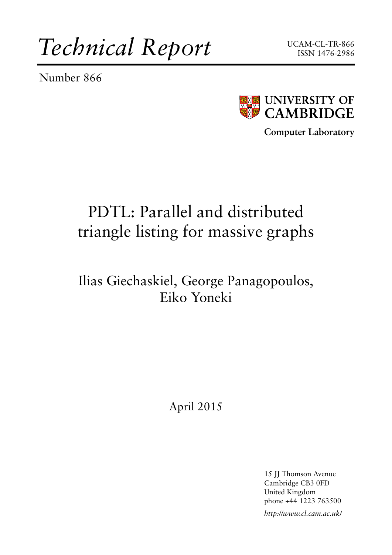*Technical Report*

Number 866





**Computer Laboratory**

# PDTL: Parallel and distributed triangle listing for massive graphs

### Ilias Giechaskiel, George Panagopoulos, Eiko Yoneki

### April 2015

15 JJ Thomson Avenue Cambridge CB3 0FD United Kingdom phone +44 1223 763500

*http://www.cl.cam.ac.uk/*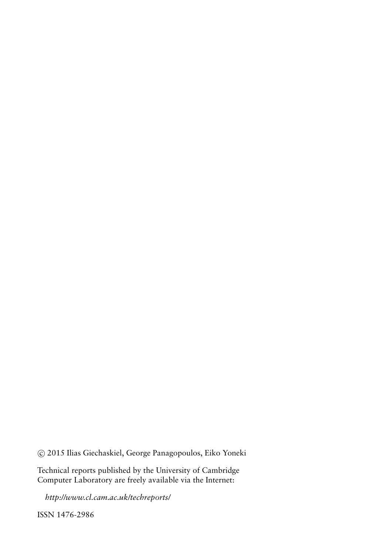c 2015 Ilias Giechaskiel, George Panagopoulos, Eiko Yoneki

Technical reports published by the University of Cambridge Computer Laboratory are freely available via the Internet:

*http://www.cl.cam.ac.uk/techreports/*

ISSN 1476-2986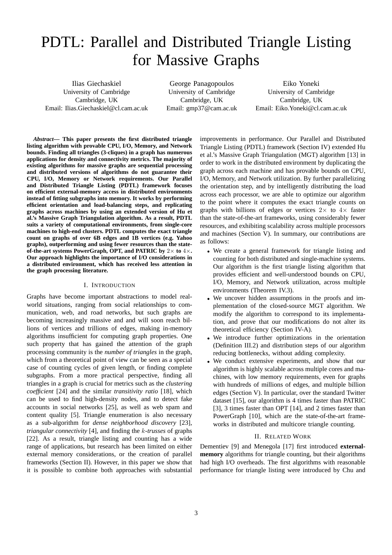## PDTL: Parallel and Distributed Triangle Listing for Massive Graphs

Ilias Giechaskiel University of Cambridge Cambridge, UK Email: Ilias.Giechaskiel@cl.cam.ac.uk

George Panagopoulos University of Cambridge Cambridge, UK Email: gmp37@cam.ac.uk

Eiko Yoneki University of Cambridge Cambridge, UK Email: Eiko.Yoneki@cl.cam.ac.uk

*Abstract***— This paper presents the first distributed triangle listing algorithm with provable CPU, I/O, Memory, and Network bounds. Finding all triangles (3-cliques) in a graph has numerous applications for density and connectivity metrics. The majority of existing algorithms for massive graphs are sequential processing and distributed versions of algorithms do not guarantee their CPU, I/O, Memory or Network requirements. Our Parallel and Distributed Triangle Listing (PDTL) framework focuses on efficient external-memory access in distributed environments instead of fitting subgraphs into memory. It works by performing efficient orientation and load-balancing steps, and replicating graphs across machines by using an extended version of Hu et al.'s Massive Graph Triangulation algorithm. As a result, PDTL suits a variety of computational environments, from single-core machines to high-end clusters. PDTL computes the exact triangle count on graphs of over 6B edges and 1B vertices (e.g. Yahoo graphs), outperforming and using fewer resources than the stateof-the-art systems PowerGraph, OPT, and PATRIC by** 2× **to** 4×**. Our approach highlights the importance of I/O considerations in a distributed environment, which has received less attention in the graph processing literature.**

#### I. INTRODUCTION

Graphs have become important abstractions to model realworld situations, ranging from social relationships to communication, web, and road networks, but such graphs are becoming increasingly massive and and will soon reach billions of vertices and trillions of edges, making in-memory algorithms insufficient for computing graph properties. One such property that has gained the attention of the graph processing community is the *number of triangles* in the graph, which from a theoretical point of view can be seen as a special case of counting cycles of given length, or finding complete subgraphs. From a more practical perspective, finding all triangles in a graph is crucial for metrics such as the *clustering coefficient* [\[24\]](#page-11-0) and the similar *transitivity ratio* [\[18\]](#page-11-1), which can be used to find high-density nodes, and to detect fake accounts in social networks [\[25\]](#page-11-2), as well as web spam and content quality [\[5\]](#page-11-3). Triangle enumeration is also necessary as a sub-algorithm for *dense neighborhood discovery* [\[23\]](#page-11-4), *triangular connectivity* [\[4\]](#page-11-5), and finding the k*-trusses* of graphs [\[22\]](#page-11-6). As a result, triangle listing and counting has a wide range of applications, but research has been limited on either external memory considerations, or the creation of parallel frameworks (Section [II\)](#page-2-0). However, in this paper we show that it is possible to combine both approaches with substantial

improvements in performance. Our Parallel and Distributed Triangle Listing (PDTL) framework (Section [IV\)](#page-3-0) extended Hu et al.'s Massive Graph Triangulation (MGT) algorithm [\[13\]](#page-11-7) in order to work in the distributed environment by duplicating the graph across each machine and has provable bounds on CPU, I/O, Memory, and Network utilization. By further parallelizing the orientation step, and by intelligently distributing the load across each processor, we are able to optimize our algorithm to the point where it computes the exact triangle counts on graphs with billions of edges or vertices  $2 \times$  to  $4 \times$  faster than the state-of-the-art frameworks, using considerably fewer resources, and exhibiting scalability across multiple processors and machines (Section [V\)](#page-6-0). In summary, our contributions are as follows:

- We create a general framework for triangle listing and counting for both distributed and single-machine systems. Our algorithm is the first triangle listing algorithm that provides efficient and well-understood bounds on CPU, I/O, Memory, and Network utilization, across multiple environments (Theorem [IV.3\)](#page-6-1).
- We uncover hidden assumptions in the proofs and implementation of the closed-source MGT algorithm. We modify the algorithm to correspond to its implementation, and prove that our modifications do not alter its theoretical efficiency (Section [IV-A\)](#page-3-1).
- We introduce further optimizations in the orientation (Definition [III.2\)](#page-3-2) and distribution steps of our algorithm reducing bottlenecks, without adding complexity.
- We conduct extensive experiments, and show that our algorithm is highly scalable across multiple cores and machines, with low memory requirements, even for graphs with hundreds of millions of edges, and multiple billion edges (Section [V\)](#page-6-0). In particular, over the standard Twitter dataset [\[15\]](#page-11-8), our algorithm is 4 times faster than PATRIC [\[3\]](#page-11-9), 3 times faster than OPT [\[14\]](#page-11-10), and 2 times faster than PowerGraph [\[10\]](#page-11-11), which are the state-of-the-art frameworks in distributed and multicore triangle counting.

#### II. RELATED WORK

<span id="page-2-0"></span>Dementiev [\[9\]](#page-11-12) and Menegola [\[17\]](#page-11-13) first introduced **externalmemory** algorithms for triangle counting, but their algorithms had high I/O overheads. The first algorithms with reasonable performance for triangle listing were introduced by Chu and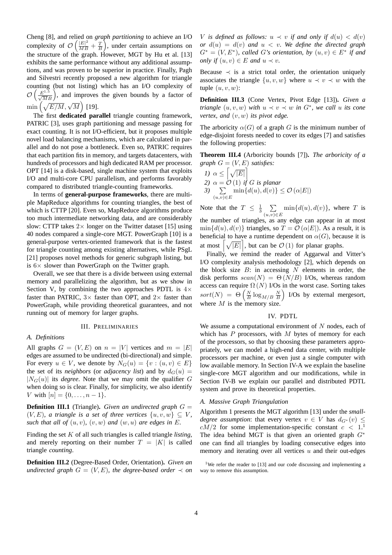Cheng [\[8\]](#page-11-14), and relied on *graph partitioning* to achieve an I/O complexity of  $\mathcal{O}\left(\frac{|E|^2}{MB} + \frac{T}{B}\right)$ , under certain assumptions on the structure of the graph. However, MGT by Hu et al. [\[13\]](#page-11-7) exhibits the same performance without any additional assumptions, and was proven to be superior in practice. Finally, Pagh and Silvestri recently proposed a new algorithm for triangle counting (but not listing) which has an I/O complexity of  $\mathcal{O}\left(\frac{E^{1.5}}{\sqrt{M}B}\right)$ , and improves the given bounds by a factor of  $\min\left(\sqrt{E/M}, \sqrt{M}\right)$  [\[19\]](#page-11-15).

The first **dedicated parallel** triangle counting framework, PATRIC [\[3\]](#page-11-9), uses graph partitioning and message passing for exact counting. It is not I/O-efficient, but it proposes multiple novel load balancing mechanisms, which are calculated in parallel and do not pose a bottleneck. Even so, PATRIC requires that each partition fits in memory, and targets datacenters, with hundreds of processors and high dedicated RAM per processor. OPT [\[14\]](#page-11-10) is a disk-based, single machine system that exploits I/O and multi-core CPU parallelism, and performs favorably compared to distributed triangle-counting frameworks.

In terms of **general-purpose frameworks**, there are multiple MapReduce algorithms for counting triangles, the best of which is CTTP [\[20\]](#page-11-16). Even so, MapReduce algorithms produce too much intermediate networking data, and are considerably slow: CTTP takes  $2 \times$  longer on the Twitter dataset [\[15\]](#page-11-8) using 40 nodes compared a single-core MGT. PowerGraph [\[10\]](#page-11-11) is a general-purpose vertex-oriented framework that is the fastest for triangle counting among existing alternatives, while PSgL [\[21\]](#page-11-17) proposes novel methods for generic subgraph listing, but is  $6\times$  slower than PowerGraph on the Twitter graph.

Overall, we see that there is a divide between using external memory and parallelizing the algorithm, but as we show in Section [V,](#page-6-0) by combining the two approaches PDTL is  $4\times$ faster than PATRIC,  $3 \times$  faster than OPT, and  $2 \times$  faster than PowerGraph, while providing theoretical guarantees, and not running out of memory for larger graphs.

#### III. PRELIMINARIES

#### *A. Definitions*

All graphs  $G = (V, E)$  on  $n = |V|$  vertices and  $m = |E|$ edges are assumed to be undirected (bi-directional) and simple. For every  $u \in V$ , we denote by  $N_G(u) = \{v : (u, v) \in E\}$ the set of its *neighbors* (or *adjacency list*) and by  $d_G(u) =$  $|N_G(u)|$  its *degree*. Note that we may omit the qualifier G when doing so is clear. Finally, for simplicity, we also identify V with  $[n] = \{0, \ldots, n-1\}.$ 

**Definition III.1** (Triangle)**.** *Given an undirected graph* G =  $(V, E)$ *, a triangle is a set of three vertices*  $\{u, v, w\} \subseteq V$ *, such that all of*  $(u, v)$ *,*  $(v, w)$  *and*  $(w, u)$  *are edges in* E*.* 

Finding the set K of all such triangles is called triangle *listing*, and merely reporting on their number  $T = |K|$  is called triangle *counting*.

<span id="page-3-2"></span>**Definition III.2** (Degree-Based Order, Orientation)**.** *Given an undirected graph*  $G = (V, E)$ *, the degree-based order*  $\prec$  *on*  V is defined as follows:  $u \prec v$  if and only if  $d(u) < d(v)$ *or*  $d(u) = d(v)$  *and*  $u < v$ *. We define the directed graph*  $G^* = (V, E^*)$ , called G's orientation, by  $(u, v) \in E^*$  if and *only if*  $(u, v) \in E$  *and*  $u \prec v$ *.* 

Because  $\prec$  is a strict total order, the orientation uniquely associates the triangle  $\{u, v, w\}$  where  $u \prec v \prec w$  with the tuple  $(u, v, w)$ :

**Definition III.3** (Cone Vertex, Pivot Edge [\[13\]](#page-11-7))**.** *Given a triangle*  $(u, v, w)$  *with*  $u \prec v \prec w$  *in*  $G^*$ *, we call u its cone vertex, and* (v, w) *its pivot edge.*

The arboricity  $\alpha(G)$  of a graph G is the minimum number of edge-disjoint forests needed to cover its edges [\[7\]](#page-11-18) and satisfies the following properties:

<span id="page-3-4"></span>**Theorem III.4** (Arboricity bounds [\[7\]](#page-11-18))**.** *The arboricity of a graph*  $G = (V, E)$  *satisfies:* 

1) 
$$
\alpha \leq \left[\sqrt{|E|}\right]
$$
  
\n2)  $\alpha = \mathcal{O}(1)$  if *G* is planar  
\n3)  $\sum_{(u,v)\in E} \min\{d(u), d(v)\} \leq \mathcal{O}(\alpha|E|)$ 

Note that the  $T \leq \frac{1}{3} \sum_{n=1}^{\infty}$  $\sum_{(u,v)\in E} \min\{d(u), d(v)\}\text{, where } T \text{ is }$ the number of triangles, as any edge can appear in at most  $\min\{d(u), d(v)\}\$ triangles, so  $T = \mathcal{O}(\alpha|E|)$ . As a result, it is beneficial to have a runtime dependent on  $\alpha(G)$ , because it is at most  $\left[\sqrt{|E|}\right]$ , but can be  $\mathcal{O}(1)$  for planar graphs.

Finally, we remind the reader of Aggarwal and Vitter's I/O complexity analysis methodology [\[2\]](#page-11-19), which depends on the block size  $B$ : in accessing  $N$  elements in order, the disk performs  $scan(N) = \Theta(N/B)$  I/Os, whereas random access can require  $\Omega(N)$  I/Os in the worst case. Sorting takes  $sort(N) = \Theta\left(\frac{N}{B}\log_{M/B}\frac{N}{B}\right)$  I/Os by external mergesort, where  $M$  is the memory size.

#### IV. PDTL

<span id="page-3-0"></span>We assume a computational environment of  $N$  nodes, each of which has  $P$  processors, with  $M$  bytes of memory for each of the processors, so that by choosing these parameters appropriately, we can model a high-end data center, with multiple processors per machine, or even just a single computer with low available memory. In Section [IV-A](#page-3-1) we explain the baseline single-core MGT algorithm and our modifications, while in Section [IV-B](#page-5-0) we explain our parallel and distributed PDTL system and prove its theoretical properties.

#### <span id="page-3-1"></span>*A. Massive Graph Triangulation*

Algorithm [1](#page-4-0) presents the MGT algorithm [\[13\]](#page-11-7) under the *smalldegree assumption*: that every vertex  $v \in V$  has  $d_{G^*}(v) \leq$  $cM/2$  for some implementation-specific constant  $c < 1$  $c < 1$ . The idea behind MGT is that given an oriented graph  $G^*$ one can find all triangles by loading consecutive edges into memory and iterating over all vertices  $u$  and their out-edges

<span id="page-3-3"></span><sup>&</sup>lt;sup>1</sup>We refer the reader to [\[13\]](#page-11-7) and our code discussing and implementing a way to remove this assumption.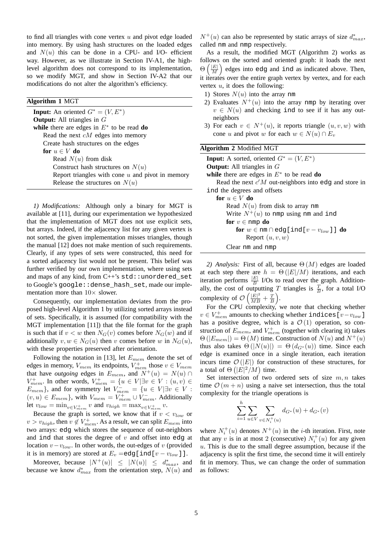to find all triangles with cone vertex  $u$  and pivot edge loaded into memory. By using hash structures on the loaded edges and  $N(u)$  this can be done in a CPU- and I/O- efficient way. However, as we illustrate in Section [IV-A1,](#page-4-1) the highlevel algorithm does not correspond to its implementation, so we modify MGT, and show in Section [IV-A2](#page-4-2) that our modifications do not alter the algorithm's efficiency.

#### <span id="page-4-0"></span>**Algorithm 1** MGT

**Input:** An oriented  $G^* = (V, E^*)$ **Output:** All triangles in G **while** there are edges in  $E^*$  to be read **do** Read the next  $cM$  edges into memory Create hash structures on the edges **for**  $u \in V$  **do** Read  $N(u)$  from disk Construct hash structures on  $N(u)$ Report triangles with cone  $u$  and pivot in memory Release the structures on  $N(u)$ 

<span id="page-4-1"></span>*1) Modifications:* Although only a binary for MGT is available at [\[11\]](#page-11-20), during our experimentation we hypothesized that the implementation of MGT does not use explicit sets, but arrays. Indeed, if the adjacency list for any given vertex is not sorted, the given implementation misses triangles, though the manual [\[12\]](#page-11-21) does not make mention of such requirements. Clearly, if any types of sets were constructed, this need for a sorted adjacency list would not be present. This belief was further verified by our own implementation, where using sets and maps of any kind, from  $C++$ 's  $std:$  unordered set to Google's google::dense\_hash\_set, made our implementation more than  $10\times$  slower.

Consequently, our implementation deviates from the proposed high-level Algorithm [1](#page-4-0) by utilizing sorted arrays instead of sets. Specifically, it is assumed (for compatibility with the MGT implementation [\[11\]](#page-11-20)) that the file format for the graph is such that if  $v < w$  then  $N_G(v)$  comes before  $N_G(w)$  and if additionally  $v, w \in N_G(u)$  then v comes before w in  $N_G(u)$ , with these properties preserved after orientation.

Following the notation in [\[13\]](#page-11-7), let  $E_{mem}$  denote the set of edges in memory,  $V_{mem}$  its endpoints,  $V_{mem}^+$  those  $v \in V_{mem}$ that have *outgoing* edges in  $E_{mem}$ , and  $N^+(u) = N(u) \cap$  $V^+_{mem}$ . In other words,  $V^+_{mem} = \{u \in V | \exists v \in V : (u, v) \in V\}$  $E_{mem}$ }, and for symmetry let  $V_{mem}^- = \{u \in V | \exists v \in V :$  $(v, u) \in E_{mem}$ , with  $V_{mem} = V_{mem}^+ \cup V_{mem}^-$ . Additionally let  $v_{low} = \min_{v \in V_{mem}^+} v$  and  $v_{high} = \max_{v \in V_{mem}^+} v$ .

Because the graph is sorted, we know that if  $v < v_{low}$  or  $v > v_{high}$ , then  $v \notin V_{mem}^+$ . As a result, we can split  $E_{mem}$  into two arrays: edg which stores the sequence of out-neighbors and ind that stores the degree of  $v$  and offset into edg at location  $v - v_{low}$ . In other words, the out-edges of v (provided it is in memory) are stored at  $E_v = \text{edg}[\text{ind}[v - v_{low}]]$ .

Moreover, because  $|N^+(u)| \leq |N(u)| \leq d_{max}^*$ , and because we know  $d_{max}^*$  from the orientation step,  $N(u)$  and

 $N^+(u)$  can also be represented by static arrays of size  $d_{max}^*$ , called nm and nmp respectively.

As a result, the modified MGT (Algorithm [2\)](#page-4-3) works as follows on the sorted and oriented graph: it loads the next  $\Theta\left(\frac{|E|}{M}\right)$  edges into edg and ind as indicated above. Then, it iterates over the entire graph vertex by vertex, and for each vertex  $u$ , it does the following:

- 1) Stores  $N(u)$  into the array nm
- 2) Evaluates  $N^+(u)$  into the array nmp by iterating over  $v \in N(u)$  and checking ind to see if it has any outneighbors
- <span id="page-4-3"></span>3) For each  $v \in N^+(u)$ , it reports triangle  $(u, v, w)$  with cone u and pivot w for each  $w \in N(u) \cap E_v$

| <b>Algorithm 2 Modified MGT</b>                                 |
|-----------------------------------------------------------------|
| <b>Input:</b> A sorted, oriented $G^* = (V, E^*)$               |
| <b>Output:</b> All triangles in $G$                             |
| while there are edges in $E^*$ to be read do                    |
| Read the next $c'M$ out-neighbors into edg and store in         |
| ind the degrees and offsets                                     |
| for $u \in V$ do                                                |
| Read $N(u)$ from disk to array nm                               |
| Write $N^+(u)$ to nmp using nm and ind                          |
| for $v \in \text{nmp}$ do                                       |
| for $w \in \text{nm} \cap \text{edg}$ [ind[ $v - v_{low}$ ]] do |
| Report $(u, v, w)$                                              |
| Clear nm and nmp                                                |

<span id="page-4-2"></span>2) Analysis: First of all, because  $\Theta(M)$  edges are loaded at each step there are  $h = \Theta(|E|/M)$  iterations, and each iteration performs  $\frac{|E|}{B}$  I/Os to read over the graph. Additionally, the cost of outputting T triangles is  $\frac{T}{B}$ , for a total I/O complexity of  $\mathcal{O}\left(\frac{|E|^2}{MB} + \frac{T}{B}\right)$ .

For the CPU complexity, we note that checking whether  $v \in V_{mem}^+$  amounts to checking whether indices [ $v - v_{low}$ ] has a positive degree, which is a  $\mathcal{O}(1)$  operation, so construction of  $E_{mem}$ , and  $V_{mem}^{+}$  (together with clearing it) takes  $\Theta(|E_{mem}|) = \Theta(M)$  time. Construction of  $N(u)$  and  $N^+(u)$ thus also takes  $\Theta(|N(u)|) = \Theta(d_{G^*}(u))$  time. Since each edge is examined once in a single iteration, each iteration incurs time  $\mathcal{O}(|E|)$  for construction of these structures, for a total of  $\Theta\left(|E|^2/M\right)$  time.

Set intersection of two ordered sets of size  $m, n$  takes time  $\mathcal{O}(m + n)$  using a naive set intersection, thus the total complexity for the triangle operations is

$$
\sum_{i=1}^{h} \sum_{u \in V} \sum_{v \in N_i^+(u)} d_{G^*}(u) + d_{G^*}(v)
$$

where  $N_i^+(u)$  denotes  $N^+(u)$  in the *i*-th iteration. First, note that any v is in at most 2 (consecutive)  $N_i^+(u)$  for any given  $u$ . This is due to the small degree assumption, because if the adjacency is split the first time, the second time it will entirely fit in memory. Thus, we can change the order of summation as follows: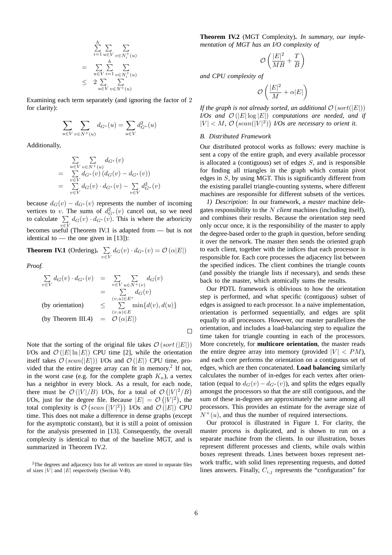$$
\sum_{i=1}^{h} \sum_{u \in V} \sum_{v \in N_i^+(u)}
$$
\n
$$
= \sum_{u \in V} \sum_{i=1}^{h} \sum_{v \in N_i^+(u)}
$$
\n
$$
\leq 2 \sum_{u \in V} \sum_{v \in N^+(u)}
$$

Examining each term separately (and ignoring the factor of 2 for clarity):

$$
\sum_{u\in V}\sum_{v\in N^+(u)}d_{G^*}(u)=\sum_{u\in V}d_{G^*}^2(u)
$$

Additionally,

$$
\sum_{u \in V} \sum_{v \in N^+(u)} d_{G^*}(v)
$$
\n
$$
= \sum_{v \in V} d_{G^*}(v) (d_G(v) - d_{G^*}(v))
$$
\n
$$
= \sum_{v \in V} d_G(v) \cdot d_{G^*}(v) - \sum_{v \in V} d_{G^*}^2(v)
$$

because  $d_G(v) - d_{G^*}(v)$  represents the number of incoming vertices to v. The sums of  $d_{G^*}^2(v)$  cancel out, so we need to calculate  $\Sigma$  $\sum_{v \in V} d_G(v) \cdot d_{G^*}(v)$ . This is where the arboricity becomes useful (Theorem [IV.1](#page-5-1) is adapted from — but is not identical to — the one given in  $[13]$ :

<span id="page-5-1"></span>**Theorem IV.1** (Ordering).  $\sum$  $\sum_{v \in V} d_G(v) \cdot d_{G^*}(v) = \mathcal{O}(\alpha |E|)$ 

*Proof.*

$$
\sum_{v \in V} d_G(v) \cdot d_{G^*}(v) = \sum_{v \in V} \sum_{u \in N^+(v)} d_G(v)
$$
\n
$$
= \sum_{(v,u) \in E^*} d_G(v)
$$
\n(by orientation) 
$$
\leq \sum_{(v,u) \in E} \min\{d(v), d(u)\}
$$
\n(by Theorem III.4) 
$$
= \mathcal{O}(\alpha|E|)
$$

Note that the sorting of the original file takes  $\mathcal{O}(sort(|E|))$ I/Os and  $\mathcal{O}(|E|\ln|E|)$  CPU time [\[2\]](#page-11-19), while the orientation itself takes  $\mathcal{O}(scan(|E|))$  I/Os and  $\mathcal{O}(|E|)$  CPU time, pro-vided that the entire degree array can fit in memory.<sup>[2](#page-5-2)</sup> If not, in the worst case (e.g. for the complete graph  $K_n$ ), a vertex has a neighbor in every block. As a result, for each node, there must be  $\mathcal{O}(|V|/B)$  I/Os, for a total of  $\mathcal{O}(|V|^2/B)$ I/Os, just for the degree file. Because  $|E| = \mathcal{O}(|V|^2)$ , the total complexity is  $\mathcal{O}\left( \operatorname{scan}\left( |V|^2 \right) \right)$  I/Os and  $\mathcal{O}\left( |E| \right)$  CPU time. This does not make a difference in dense graphs (except for the asymptotic constant), but it is still a point of omission for the analysis presented in [\[13\]](#page-11-7). Consequently, the overall complexity is identical to that of the baseline MGT, and is summarized in Theorem [IV.2.](#page-5-3)

<span id="page-5-3"></span>**Theorem IV.2** (MGT Complexity)**.** *In summary, our implementation of MGT has an I/O complexity of*

$$
\mathcal{O}\left(\frac{|E|^2}{MB} + \frac{T}{B}\right)
$$

*and CPU complexity of*

$$
\mathcal{O}\left(\frac{|E|^2}{M} + \alpha |E|\right)
$$

*If the graph is not already sorted, an additional*  $\mathcal{O}(sort(|E|))$ *I/Os and*  $\mathcal{O}(|E|\log|E|)$  *computations are needed, and if*  $|V| < M$ ,  $\mathcal{O}\left(\operatorname{scan}(|V|^2)\right)$  I/Os are necessary to orient it.

#### <span id="page-5-0"></span>*B. Distributed Framework*

Our distributed protocol works as follows: every machine is sent a copy of the entire graph, and every available processor is allocated a (contiguous) set of edges  $S$ , and is responsible for finding all triangles in the graph which contain pivot edges in  $S$ , by using MGT. This is significantly different from the existing parallel triangle-counting systems, where different machines are responsible for different subsets of the vertices.

*1) Description:* In our framework, a *master* machine delegates responsibility to the N *client* machines (including itself), and combines their results. Because the orientation step need only occur once, it is the responsibility of the master to apply the degree-based order to the graph in question, before sending it over the network. The master then sends the oriented graph to each client, together with the indices that each processor is responsible for. Each core processes the adjacency list between the specified indices. The client combines the triangle counts (and possibly the triangle lists if necessary), and sends these back to the master, which atomically sums the results.

Our PDTL framework is oblivious to how the orientation step is performed, and what specific (contiguous) subset of edges is assigned to each processor. In a naive implementation, orientation is performed sequentially, and edges are split equally to all processors. However, our master parallelizes the orientation, and includes a load-balancing step to equalize the time taken for triangle counting in each of the processors. More concretely, for **multicore orientation**, the master reads the entire degree array into memory (provided  $|V| < PM$ ), and each core performs the orientation on a contiguous set of edges, which are then concatenated. **Load balancing** similarly calculates the number of in-edges for each vertex after orientation (equal to  $d_G(v) - d_{G^*}(v)$ ), and splits the edges equally amongst the processors so that the are still contiguous, and the sum of these in-degrees are approximately the same among all processors. This provides an estimate for the average size of  $N^+(u)$ , and thus the number of required intersections.

Our protocol is illustrated in Figure [1.](#page-6-2) For clarity, the master process is duplicated, and is shown to run on a separate machine from the clients. In our illustration, boxes represent different processes and clients, while ovals within boxes represent threads. Lines between boxes represent network traffic, with solid lines representing requests, and dotted lines answers. Finally,  $C_{i,j}$  represents the "configuration" for

 $\Box$ 

<span id="page-5-2"></span><sup>&</sup>lt;sup>2</sup>The degrees and adjacency lists for all vertices are stored in separate files of sizes  $|V|$  and  $|E|$  respectively (Section [V-B\)](#page-7-0).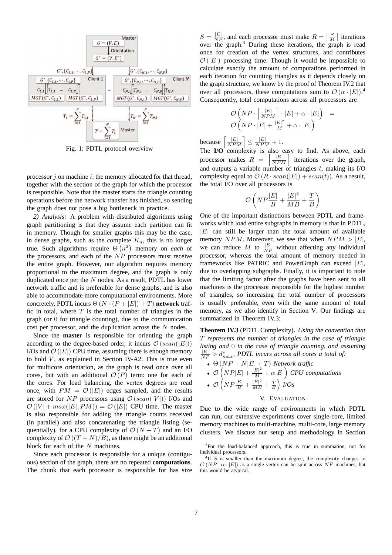<span id="page-6-2"></span>

Fig. 1: PDTL protocol overview

processor  $j$  on machine  $i$ : the memory allocated for that thread, together with the section of the graph for which the processor is responsible. Note that the master starts the triangle counting operations before the network transfer has finished, so sending the graph does not pose a big bottleneck in practice.

<span id="page-6-5"></span>*2) Analysis:* A problem with distributed algorithms using graph partitioning is that they assume each partition can fit in memory. Though for smaller graphs this may be the case, in dense graphs, such as the complete  $K_n$ , this is no longer true. Such algorithms require  $\Theta(n^2)$  memory on *each* of the processors, and each of the  $NP$  processors must receive the entire graph. However, our algorithm requires memory proportional to the maximum degree, and the graph is only duplicated once per the  $N$  nodes. As a result, PDTL has lower network traffic and is preferable for dense graphs, and is also able to accommodate more computational environments. More concretely, PDTL incurs  $\Theta(N \cdot (P + |E|) + T)$  **network** traffic in total, where  $T$  is the total number of triangles in the graph (or 0 for triangle counting), due to the communication cost per processor, and the duplication across the N nodes.

Since the **master** is responsible for orienting the graph according to the degree-based order, it incurs  $\mathcal{O}(scan(|E|))$ I/Os and  $\mathcal{O}(|E|)$  CPU time, assuming there is enough memory to hold  $V$ , as explained in Section [IV-A2.](#page-4-2) This is true even for multicore orientation, as the graph is read once over all cores, but with an additional  $\mathcal{O}(P)$  term: one for each of the cores. For load balancing, the vertex degrees are read once, with  $PM = \mathcal{O}(|E|)$  edges sampled, and the results are stored for NP processors using  $\mathcal{O}(scan(|V|))$  I/Os and  $\mathcal{O}(|V| + max(|E|, PM)) = \mathcal{O}(|E|)$  CPU time. The master is also responsible for adding the triangle counts received (in parallel) and also concatenating the triangle listing (sequentially), for a CPU complexity of  $\mathcal{O}(N+T)$  and an I/O complexity of  $\mathcal{O}((T+N)/B)$ , as there might be an additional block for each of the N machines.

Since each processor is responsible for a unique (contiguous) section of the graph, there are no repeated **computations**. The chunk that each processor is responsible for has size

 $S = \frac{|E|}{NP}$ , and each processor must make  $R = \lceil \frac{S}{M} \rceil$  iterations over the graph.[3](#page-6-3) During these iterations, the graph is read once for creation of the vertex structures, and contributes  $\mathcal{O}(|E|)$  processing time. Though it would be impossible to calculate exactly the amount of computations performed in each iteration for counting triangles as it depends closely on the graph structure, we know by the proof of Theorem [IV.2](#page-5-3) that over all processors, these computations sum to  $\mathcal{O}(\alpha \cdot |E|)$ .<sup>[4](#page-6-4)</sup> Consequently, total computations across all processors are

$$
\begin{array}{lcl} \mathcal{O}\left(NP\cdot\left\lceil \frac{|E|}{NPM} \right\rceil\cdot |E| + \alpha\cdot |E| \right) & = \\ \mathcal{O}\left(NP\cdot |E| + \frac{|E|^2}{M} + \alpha\cdot |E| \right) \end{array}
$$

because  $\left[\frac{|E|}{NPM}\right] \leq \frac{|E|}{NPM} + 1.$ 

The **I/O** complexity is also easy to find. As above, each processor makes  $R = \left[\frac{|E|}{NPM}\right]$ iterations over the graph, and outputs a variable number of triangles  $t$ , making its I/O complexity equal to  $\mathcal{O}(R \cdot scan(|E|) + scan(t))$ . As a result, the total I/O over all processors is

$$
\mathcal{O}\left( NP \frac{|E|}{B} + \frac{|E|^2}{MB} + \frac{T}{B} \right)
$$

One of the important distinctions between PDTL and frameworks which load entire subgraphs in memory is that in PDTL,  $|E|$  can still be larger than the total amount of available memory NPM. Moreover, we see that when  $NPM > |E|$ , we can reduce M to  $\frac{|E|}{NP}$  without affecting any individual processor, whereas the total amount of memory needed in frameworks like PATRIC and PowerGraph can exceed  $|E|$ , due to overlapping subgraphs. Finally, it is important to note that the limiting factor after the graphs have been sent to all machines is the processor responsible for the highest number of triangles, so increasing the total number of processors is usually preferable, even with the same amount of total memory, as we also identify in Section [V.](#page-6-0) Our findings are summarized in Theorem [IV.3:](#page-6-1)

<span id="page-6-1"></span>**Theorem IV.3** (PDTL Complexity)**.** *Using the convention that* T *represents the number of triangles in the case of triangle listing and* 0 *in the case of triangle counting, and assuming*  $\frac{|E|}{NP} > d_{max}^*$ , PDTL incurs across all cores a total of:

- $\bullet \Theta(NP+N|E|+T)$  *Network traffic*
- $\mathcal{O}\left(NP|E| + \frac{|E|^2}{M} + \alpha |E|\right)$  CPU computations
- <span id="page-6-0"></span> $\bullet$   $\mathcal{O}\left(NP\frac{|E|}{B} + \frac{|E|^2}{MB} + \frac{T}{B}\right)$  I/Os

#### V. EVALUATION

Due to the wide range of environments in which PDTL can run, our extensive experiments cover single-core, limited memory machines to multi-machine, multi-core, large memory clusters. We discuss our setup and methodology in Section

<span id="page-6-3"></span><sup>3</sup>For the load-balanced approach, this is true in summation, not for individual processors.

<span id="page-6-4"></span> ${}^{4}$ If S is smaller than the maximum degree, the complexity changes to  $\mathcal{O}(NP \cdot \alpha \cdot |E|)$  as a single vertex can be split across  $NP$  machines, but this would be atypical.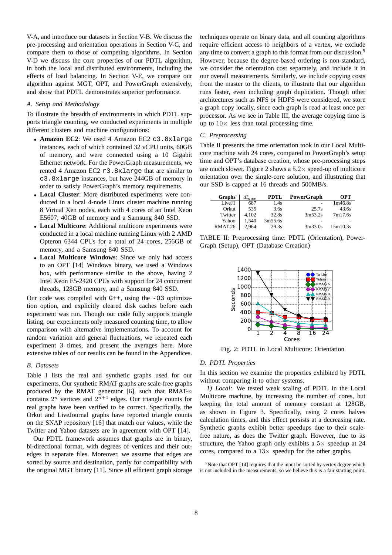[V-A,](#page-7-1) and introduce our datasets in Section [V-B.](#page-7-0) We discuss the pre-processing and orientation operations in Section [V-C,](#page-7-2) and compare them to those of competing algorithms. In Section [V-D](#page-7-3) we discuss the core properties of our PDTL algorithm, in both the local and distributed environments, including the effects of load balancing. In Section [V-E,](#page-9-0) we compare our algorithm against MGT, OPT, and PowerGraph extensively, and show that PDTL demonstrates superior performance.

#### <span id="page-7-1"></span>*A. Setup and Methodology*

To illustrate the breadth of environments in which PDTL supports triangle counting, we conducted experiments in multiple different clusters and machine configurations:

- **Amazon EC2**: We used 4 Amazon EC2 c3.8xlarge instances, each of which contained 32 vCPU units, 60GB of memory, and were connected using a 10 Gigabit Ethernet network. For the PowerGraph measurements, we rented 4 Amazon EC2 r3.8xlarge that are similar to c3.8xlarge instances, but have 244GB of memory in order to satisfy PowerGraph's memory requirements.
- **Local Cluster**: More distributed experiments were conducted in a local 4-node Linux cluster machine running 8 Virtual Xen nodes, each with 4 cores of an Intel Xeon E5607, 40GB of memory and a Samsung 840 SSD.
- **Local Multicore**: Additional multicore experiments were conducted in a local machine running Linux with 2 AMD Opteron 6344 CPUs for a total of 24 cores, 256GB of memory, and a Samsung 840 SSD.
- **Local Multicore Windows**: Since we only had access to an OPT [\[14\]](#page-11-10) Windows binary, we used a Windows box, with performance similar to the above, having 2 Intel Xeon E5-2420 CPUs with support for 24 concurrent threads, 128GB memory, and a Samsung 840 SSD.

Our code was compiled with G++, using the -O3 optimization option, and explicitly cleared disk caches before each experiment was run. Though our code fully supports triangle listing, our experiments only measured counting time, to allow comparison with alternative implementations. To account for random variation and general fluctuations, we repeated each experiment 3 times, and present the averages here. More extensive tables of our results can be found in the Appendices.

#### <span id="page-7-0"></span>*B. Datasets*

Table [I](#page-8-0) lists the real and synthetic graphs used for our experiments. Our synthetic RMAT graphs are scale-free graphs produced by the RMAT generator [\[6\]](#page-11-22), such that  $RMAT-n$ contains  $2^n$  vertices and  $2^{n+4}$  edges. Our triangle counts for real graphs have been verified to be correct. Specifically, the Orkut and LiveJournal graphs have reported triangle counts on the SNAP repository [\[16\]](#page-11-23) that match our values, while the Twitter and Yahoo datasets are in agreement with OPT [\[14\]](#page-11-10).

Our PDTL framework assumes that graphs are in binary, bi-directional format, with degrees of vertices and their outedges in separate files. Moreover, we assume that edges are sorted by source and destination, partly for compatibility with the original MGT binary [\[11\]](#page-11-20). Since all efficient graph storage

techniques operate on binary data, and all counting algorithms require efficient access to neighbors of a vertex, we exclude any time to convert a graph to this format from our discussion. [5](#page-7-4) However, because the degree-based ordering is non-standard, we consider the orientation cost separately, and include it in our overall measurements. Similarly, we include copying costs from the master to the clients, to illustrate that our algorithm runs faster, even including graph duplication. Though other architectures such as NFS or HDFS were considered, we store a graph copy locally, since each graph is read at least once per processor. As we see in Table [III,](#page-8-1) the average copying time is up to  $10\times$  less than total processing time.

#### <span id="page-7-2"></span>*C. Preprocessing*

Table [II](#page-7-5) presents the time orientation took in our Local Multicore machine with 24 cores, compared to PowerGraph's setup time and OPT's database creation, whose pre-processing steps are much slower. Figure [2](#page-7-6) shows a  $5.2 \times$  speed-up of multicore orientation over the single-core solution, and illustrating that our SSD is capped at 16 threads and 500MB/s.

<span id="page-7-5"></span>

| Graphs  | $d_{max}^*$ | <b>PDTL</b> | PowerGraph | OPT      |
|---------|-------------|-------------|------------|----------|
| LiveJ1  | 687         | 1.4s        | -          | 1m46.8s  |
| Orkut   | 535         | 3.6s        | 25.7s      | 43.6s    |
| Twitter | 4.102       | 32.8s       | 3m53.2s    | 7m17.6s  |
| Yahoo   | 1.540       | 3m55.6s     |            |          |
| RMAT-26 | 2,964       | 29.3s       | 3m33.0s    | 15m10.3s |

<span id="page-7-6"></span>TABLE II: Preprocessing time: PDTL (Orientation), Power-Graph (Setup), OPT (Database Creation)



Fig. 2: PDTL in Local Multicore: Orientation

#### <span id="page-7-3"></span>*D. PDTL Properties*

In this section we examine the properties exhibited by PDTL without comparing it to other systems.

*1) Local:* We tested weak scaling of PDTL in the Local Multicore machine, by increasing the number of cores, but keeping the total amount of memory constant at 128GB, as shown in Figure [3.](#page-8-2) Specifically, using 2 cores halves calculation times, and this effect persists at a decreasing rate. Synthetic graphs exhibit better speedups due to their scalefree nature, as does the Twitter graph. However, due to its structure, the Yahoo graph only exhibits a  $5\times$  speedup at 24 cores, compared to a  $13\times$  speedup for the other graphs.

<span id="page-7-4"></span><sup>5</sup>Note that OPT [\[14\]](#page-11-10) requires that the input be sorted by vertex degree which is not included in the measurements, so we believe this is a fair starting point.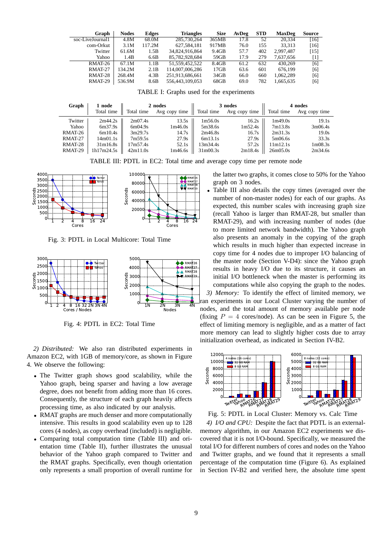<span id="page-8-0"></span>

| Graph            | <b>Nodes</b> | Edges  | <b>Triangles</b> | <b>Size</b> | AvDeg | <b>STD</b> | <b>MaxDeg</b> | Source |
|------------------|--------------|--------|------------------|-------------|-------|------------|---------------|--------|
| soc-LiveJournal1 | 4.8M         | 68.0M  | 285,730,264      | 365MB       | 17.8  | 52         | 20.334        | [16]   |
| com-Orkut        | 3.1M         | 117.2M | 627.584.181      | 917MB       | 76.0  | 155        | 33.313        | [16]   |
| Twitter          | 61.6M        | 1.5B   | 34.824.916.864   | 9.4GB       | 57.7  | 402        | 2.997.487     | [15]   |
| Yahoo            | 1.4B         | 6.6B   | 85.782.928.684   | 59GB        | 17.9  | 279        | 7.637.656     | [1]    |
| RMAT-26          | 67.1M        | 1.1B   | 51.559.452.522   | 8.4GB       | 61.2  | 632        | 430,269       | [6]    |
| RMAT-27          | 134.2M       | 2.1B   | 114,007,006,286  | 17GB        | 63.6  | 601        | 676.199       | [6]    |
| RMAT-28          | 268.4M       | 4.3B   | 251,913,686,661  | 34GB        | 66.0  | 660        | 1.062.289     | [6]    |
| RMAT-29          | 536.9M       | 8.6B   | 556,443,109,053  | 68GB        | 69.0  | 782        | 1.665.635     | [6]    |

TABLE I: Graphs used for the experiments

<span id="page-8-1"></span>

| Graph   | 1 node     | 2 nodes    |               |                                   | 3 nodes       | 4 nodes    |                                  |  |
|---------|------------|------------|---------------|-----------------------------------|---------------|------------|----------------------------------|--|
|         | Total time | Total time | Avg copy time | Total time                        | Avg copy time | Total time | Avg copy time                    |  |
| Twitter | 2m44.2s    | 2m07.4s    | 13.5s         | 1m56.0s                           | 16.2s         | 1m49.0s    | 19.1s                            |  |
| Yahoo   | 6m37.9s    | 6m04.9s    | 1m46.0s       | 5m38.6s                           | 1m52.4s       | 7m13.8s    | 3m06.4s                          |  |
| RMAT-26 | 6m10.4s    | 3m29.7s    | 14.7s         | 2m46.8s                           | 16.7s         | 2m31.3s    | 19.0s                            |  |
| RMAT-27 | 14m01.1s   | 7m59.5s    | 27.9s         | 6m13.1s                           | 27.9s         | 5m06.6s    | 33.3s                            |  |
| RMAT-28 | 31m16.8s   | 17m57.4s   | 52.1s         | 13m34.4s                          | 57.2s         | 11m12.1s   | 1 <sub>m</sub> 08.3 <sub>s</sub> |  |
| RMAT-29 | 1h17m24.5s | 42m11.0s   | 1m46.6s       | 31 <sub>m</sub> 00.3 <sub>s</sub> | 2m18.4s       | 26m05.0s   | 2m34.6s                          |  |

TABLE III: PDTL in EC2: Total time and average copy time per remote node

<span id="page-8-2"></span>

Fig. 3: PDTL in Local Multicore: Total Time

<span id="page-8-3"></span>

Fig. 4: PDTL in EC2: Total Time

*2) Distributed:* We also ran distributed experiments in Amazon EC2, with 1GB of memory/core, as shown in Figure [4.](#page-8-3) We observe the following:

- The Twitter graph shows good scalability, while the Yahoo graph, being sparser and having a low average degree, does not benefit from adding more than 16 cores. Consequently, the structure of each graph heavily affects processing time, as also indicated by our analysis.
- RMAT graphs are much denser and more computationally intensive. This results in good scalability even up to 128 cores (4 nodes), as copy overhead (included) is negligible.
- Comparing total computation time (Table [III\)](#page-8-1) and orientation time (Table [II\)](#page-7-5), further illustrates the unusual behavior of the Yahoo graph compared to Twitter and the RMAT graphs. Specifically, even though orientation only represents a small proportion of overall runtime for

the latter two graphs, it comes close to 50% for the Yahoo graph on 3 nodes.

Table [III](#page-8-1) also details the copy times (averaged over the number of non-master nodes) for each of our graphs. As expected, this number scales with increasing graph size (recall Yahoo is larger than RMAT-28, but smaller than RMAT-29), and with increasing number of nodes (due to more limited network bandwidth). The Yahoo graph also presents an anomaly in the copying of the graph which results in much higher than expected increase in copy time for 4 nodes due to improper I/O balancing of the master node (Section [V-D4\)](#page-8-4): since the Yahoo graph results in heavy I/O due to its structure, it causes an initial I/O bottleneck when the master is performing its computations while also copying the graph to the nodes. *3) Memory:* To identify the effect of limited memory, we ran experiments in our Local Cluster varying the number of nodes, and the total amount of memory available per node (fixing  $P = 4$  cores/node). As can be seen in Figure [5,](#page-8-5) the effect of limiting memory is negligible, and as a matter of fact more memory can lead to slightly higher costs due to array initialization overhead, as indicated in Section [IV-B2.](#page-6-5)

<span id="page-8-5"></span>

<span id="page-8-4"></span>Fig. 5: PDTL in Local Cluster: Memory vs. Calc Time *4) I/O and CPU:* Despite the fact that PDTL is an externalmemory algorithm, in our Amazon EC2 experiments we discovered that it is not I/O-bound. Specifically, we measured the total I/O for different numbers of cores and nodes on the Yahoo and Twitter graphs, and we found that it represents a small percentage of the computation time (Figure [6\)](#page-9-1). As explained in Section [IV-B2](#page-6-5) and verified here, the absolute time spent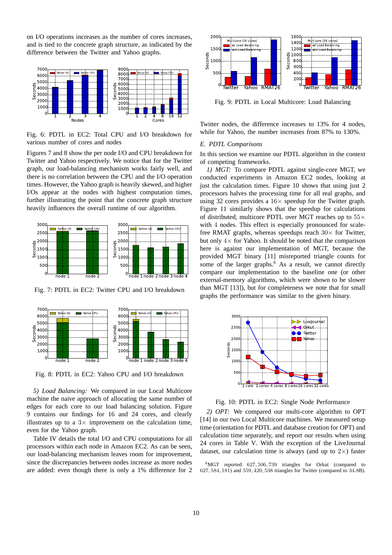on I/O operations increases as the number of cores increases, and is tied to the concrete graph structure, as indicated by the difference between the Twitter and Yahoo graphs.

<span id="page-9-1"></span>

Fig. 6: PDTL in EC2: Total CPU and I/O breakdown for various number of cores and nodes

Figures [7](#page-9-2) and [8](#page-9-3) show the per node I/O and CPU breakdown for Twitter and Yahoo respectively. We notice that for the Twitter graph, our load-balancing mechanism works fairly well, and there is no correlation between the CPU and the I/O operation times. However, the Yahoo graph is heavily skewed, and higher I/Os appear at the nodes with highest computation times, further illustrating the point that the concrete graph structure heavily influences the overall runtime of our algorithm.

<span id="page-9-2"></span>

Fig. 7: PDTL in EC2: Twitter CPU and I/O breakdown

<span id="page-9-3"></span>

Fig. 8: PDTL in EC2: Yahoo CPU and I/O breakdown

*5) Load Balancing:* We compared in our Local Multicore machine the naive approach of allocating the same number of edges for each core to our load balancing solution. Figure [9](#page-9-4) contains our findings for 16 and 24 cores, and clearly illustrates up to a  $3\times$  improvement on the calculation time, even for the Yahoo graph.

Table [IV](#page-10-0) details the total I/O and CPU computations for all processors within each node in Amazon EC2. As can be seen, our load-balancing mechanism leaves room for improvement, since the discrepancies between nodes increase as more nodes are added: even though there is only a 1% difference for 2

<span id="page-9-4"></span>

Fig. 9: PDTL in Local Multicore: Load Balancing

Twitter nodes, the difference increases to 13% for 4 nodes, while for Yahoo, the number increases from 87% to 130%.

#### <span id="page-9-0"></span>*E. PDTL Comparisons*

In this section we examine our PDTL algorithm in the context of competing frameworks.

*1) MGT:* To compare PDTL against single-core MGT, we conducted experiments in Amazon EC2 nodes, looking at just the calculation times. Figure [10](#page-9-5) shows that using just 2 processors halves the processing time for all real graphs, and using 32 cores provides a  $16\times$  speedup for the Twitter graph. Figure [11](#page-10-1) similarly shows that the speedup for calculations of distributed, multicore PDTL over MGT reaches up to  $55\times$ with 4 nodes. This effect is especially pronounced for scalefree RMAT graphs, whereas speedups reach  $30\times$  for Twitter, but only  $4 \times$  for Yahoo. It should be noted that the comparison here is against our implementation of MGT, because the provided MGT binary [\[11\]](#page-11-20) misreported triangle counts for some of the larger graphs.<sup>[6](#page-9-6)</sup> As a result, we cannot directly compare our implementation to the baseline one (or other external-memory algorithms, which were shown to be slower than MGT [\[13\]](#page-11-7)), but for completeness we note that for small graphs the performance was similar to the given binary.

<span id="page-9-5"></span>

Fig. 10: PDTL in EC2: Single Node Performance

*2) OPT:* We compared our multi-core algorithm to OPT [\[14\]](#page-11-10) in our two Local Multicore machines. We measured setup time (orientation for PDTL and database creation for OPT) and calculation time separately, and report our results when using 24 cores in Table [V.](#page-10-2) With the exception of the LiveJournal dataset, our calculation time is always (and up to  $2\times$ ) faster

<span id="page-9-6"></span><sup>6</sup>MGT reported 627, 506, 739 triangles for Orkut (compared to 627, 584, 181) and 559, 420, 538 triangles for Twitter (compared to 34.8B).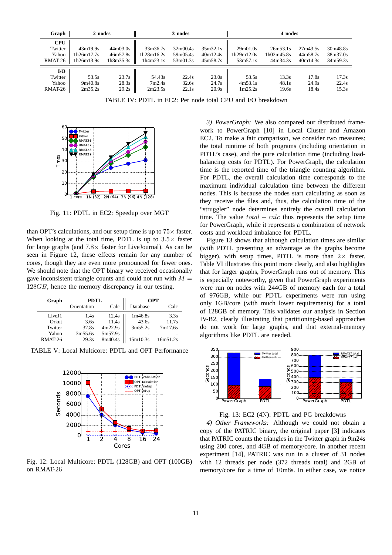<span id="page-10-0"></span>

| Graph                                     | 2 nodes                              |                                   |                                     | 3 nodes                          |                                  |                                    | 4 nodes                                  |                                  |                                  |
|-------------------------------------------|--------------------------------------|-----------------------------------|-------------------------------------|----------------------------------|----------------------------------|------------------------------------|------------------------------------------|----------------------------------|----------------------------------|
| <b>CPU</b><br>Twitter<br>Yahoo<br>RMAT-26 | 43m19.9s<br>1h26m17.7s<br>1h26m13.9s | 44m03.0s<br>46m57.8s<br>1h8m35.3s | 33m36.7s<br>1h28m16.2s<br>1h4m23.1s | 32m00.4s<br>59m05.4s<br>53m01.3s | 35m32.1s<br>40m12.4s<br>45m58.7s | 29m01.0s<br>1h29m12.0s<br>53m57.1s | 26m53.1s<br>$1h$ 02m $45.8s$<br>44m34.3s | 27m43.5s<br>44m58.7s<br>40m14.3s | 30m48.8s<br>38m37.0s<br>34m59.3s |
| I/O<br>Twitter<br>Yahoo<br>RMAT-26        | 53.5s<br>9m40.8s<br>2m35.2s          | 23.7s<br>28.3s<br>29.2s           | 54.43s<br>7m2.4s<br>2m23.5s         | 22.4s<br>32.6s<br>22.1s          | 23.0s<br>24.7s<br>20.9s          | 53.5s<br>4m53.1s<br>1m25.2s        | 13.3s<br>48.1s<br>19.6s                  | 17.8s<br>24.9s<br>18.4s          | 17.3s<br>22.4s<br>15.3s          |

TABLE IV: PDTL in EC2: Per node total CPU and I/O breakdown

<span id="page-10-1"></span>

Fig. 11: PDTL in EC2: Speedup over MGT

than OPT's calculations, and our setup time is up to  $75\times$  faster. When looking at the total time, PDTL is up to  $3.5\times$  faster for large graphs (and  $7.8\times$  faster for LiveJournal). As can be seen in Figure [12,](#page-10-3) these effects remain for any number of cores, though they are even more pronounced for fewer ones. We should note that the OPT binary we received occasionally gave inconsistent triangle counts and could not run with  $M =$ 128*GB*, hence the memory discrepancy in our testing.

<span id="page-10-2"></span>

| Graph   | <b>PDTL</b> |         |          | <b>OPT</b> |
|---------|-------------|---------|----------|------------|
|         | Orientation | Calc    | Database | Calc       |
| LiveJ1  | 1.4s        | 12.4s   | 1m46.8s  | 3.3s       |
| Orkut   | 3.6s        | 11.4s   | 43.6s    | 11.7s      |
| Twitter | 32.8s       | 4m22.9s | 3m55.2s  | 7m17.6s    |
| Yahoo   | 3m55.6s     | 5m57.9s |          |            |
| RMAT-26 | 29.3s       | 8m40.4s | 15m10.3s | 16m51.2s   |

<span id="page-10-3"></span>TABLE V: Local Multicore: PDTL and OPT Performance



Fig. 12: Local Multicore: PDTL (128GB) and OPT (100GB) on RMAT-26

*3) PowerGraph:* We also compared our distributed framework to PowerGraph [\[10\]](#page-11-11) in Local Cluster and Amazon EC2. To make a fair comparison, we consider two measures: the total runtime of both programs (including orientation in PDTL's case), and the pure calculation time (including loadbalancing costs for PDTL). For PowerGraph, the calculation time is the reported time of the triangle counting algorithm. For PDTL, the overall calculation time corresponds to the maximum individual calculation time between the different nodes. This is because the nodes start calculating as soon as they receive the files and, thus, the calculation time of the "struggler" node determines entirely the overall calculation time. The value  $total - calc$  thus represents the setup time for PowerGraph, while it represents a combination of network costs and workload imbalance for PDTL.

Figure [13](#page-10-4) shows that although calculation times are similar (with PDTL presenting an advantage as the graphs become bigger), with setup times, PDTL is more than  $2 \times$  faster. Table [VI](#page-11-25) illustrates this point more clearly, and also highlights that for larger graphs, PowerGraph runs out of memory. This is especially noteworthy, given that PowerGraph experiments were run on nodes with 244GB of memory **each** for a total of 976GB, while our PDTL experiments were run using only 1GB/core (with much lower requirements) for a total of 128GB of memory. This validates our analysis in Section [IV-B2,](#page-6-5) clearly illustrating that partitioning-based approaches do not work for large graphs, and that external-memory algorithms like PDTL are needed.

<span id="page-10-4"></span>

Fig. 13: EC2 (4N): PDTL and PG breakdowns

*4) Other Frameworks:* Although we could not obtain a copy of the PATRIC binary, the original paper [\[3\]](#page-11-9) indicates that PATRIC counts the triangles in the Twitter graph in 9m24s using 200 cores, and 4GB of memory/core. In another recent experiment [\[14\]](#page-11-10), PATRIC was run in a cluster of 31 nodes with 12 threads per node (372 threads total) and 2GB of memory/core for a time of 10m8s. In either case, we notice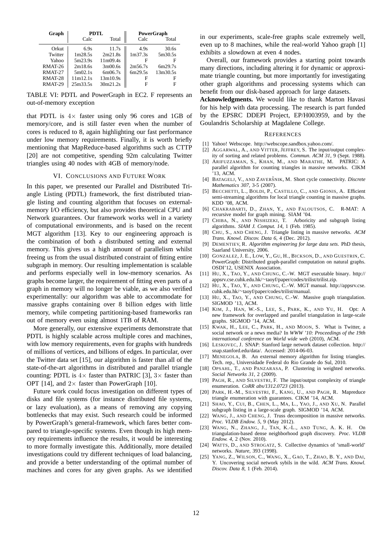<span id="page-11-25"></span>

| Graph          |          | PDTL     |         | <b>PowerGraph</b> |
|----------------|----------|----------|---------|-------------------|
|                | Calc     | Total    | Calc    | Total             |
| Orkut          | 6.9s     | 11.7s    | 4.9s    | 30.6s             |
| Twitter        | 1m28.5s  | 2m21.8s  | 1m37.3s | 5m30.5s           |
| Yahoo          | 5m23.9s  | 11m09.4s | F       | н                 |
| RMAT-26        | 2m18.6s  | 3m00.6s  | 2m56.7s | 6m29.7s           |
| RMAT-27        | 5m02.1s  | 6m06.7s  | 6m29.5s | 13m30.5s          |
| <b>RMAT-28</b> | 11m12.1s | 13m10.9s | F       | F                 |
| RMAT-29        | 25m33.5s | 30m21.2s | F       | Е                 |

TABLE VI: PDTL and PowerGraph in EC2. F represents an out-of-memory exception

that PDTL is  $4 \times$  faster using only 96 cores and 1GB of memory/core, and is still faster even when the number of cores is reduced to 8, again highlighting our fast performance under low memory requirements. Finally, it is worth briefly mentioning that MapReduce-based algorithms such as CTTP [\[20\]](#page-11-16) are not competitive, spending 92m calculating Twitter triangles using 40 nodes with 4GB of memory/node.

#### VI. CONCLUSIONS AND FUTURE WORK

In this paper, we presented our Parallel and Distributed Triangle Listing (PDTL) framework, the first distributed triangle listing and counting algorithm that focuses on externalmemory I/O efficiency, but also provides theoretical CPU and Network guarantees. Our framework works well in a variety of computational environments, and is based on the recent MGT algorithm [\[13\]](#page-11-7). Key to our engineering approach is the combination of both a distributed setting and external memory. This gives us a high amount of parallelism whilst freeing us from the usual distributed constraint of fitting entire subgraph in memory. Our resulting implementation is scalable and performs especially well in low-memory scenarios. As graphs become larger, the requirement of fitting even parts of a graph in memory will no longer be viable, as we also verified experimentally: our algorithm was able to accommodate for massive graphs containing over 8 billion edges with little memory, while competing partitioning-based frameworks ran out of memory even using almost 1TB of RAM.

More generally, our extensive experiments demonstrate that PDTL is highly scalable across multiple cores and machines, with low memory requirements, even for graphs with hundreds of millions of vertices, and billions of edges. In particular, over the Twitter data set [\[15\]](#page-11-8), our algorithm is faster than all of the state-of-the-art algorithms in distributed and parallel triangle counting: PDTL is  $4\times$  faster than PATRIC [\[3\]](#page-11-9),  $3\times$  faster than OPT [\[14\]](#page-11-10), and  $2 \times$  faster than PowerGraph [\[10\]](#page-11-11).

Future work could focus investigation on different types of disks and file systems (for instance distributed file systems, or lazy evaluation), as a means of removing any copying bottlenecks that may exist. Such research could be informed by PowerGraph's general-framework, which fares better compared to triangle-specific systems. Even though its high memory requirements influence the results, it would be interesting to more formally investigate this. Additionally, more detailed investigations could try different techniques of load balancing, and provide a better understanding of the optimal number of machines and cores for any given graphs. As we identified

in our experiments, scale-free graphs scale extremely well, even up to 8 machines, while the real-world Yahoo graph [\[1\]](#page-11-24) exhibits a slowdown at even 4 nodes.

Overall, our framework provides a starting point towards many directions, including altering it for dynamic or approximate triangle counting, but more importantly for investigating other graph algorithms and processing systems which can benefit from our disk-based approach for large datasets.

**Acknowledgments.** We would like to thank Marton Havasi for his help with data processing. The research is part funded by the EPSRC DDEPI Project, EP/H003959, and by the Goulandris Scholarship at Magdalene College.

#### **REFERENCES**

- <span id="page-11-24"></span><span id="page-11-19"></span>[1] Yahoo! Webscope. [http://webscope.sandbox.yahoo.com/.](http://webscope.sandbox.yahoo.com/)
- $\overline{121}$  AGGARWAL, A., AND VITTER, JEFFREY, S. The input/output complexity of sorting and related problems. *Commun. ACM 31*, 9 (Sept. 1988).
- <span id="page-11-9"></span>[3] ARIFUZZAMAN, S., KHAN, M., AND MARATHE, M. PATRIC: A parallel algorithm for counting triangles in massive networks. CIKM '13, ACM.
- <span id="page-11-5"></span>[4] BATAGELJ, V., AND ZAVERŠNIK, M. Short cycle connectivity. *Discrete Mathematics 307*, 3-5 (2007).
- <span id="page-11-3"></span>[5] BECCHETTI, L., BOLDI, P., CASTILLO, C., AND GIONIS, A. Efficient semi-streaming algorithms for local triangle counting in massive graphs. KDD '08, ACM.
- <span id="page-11-22"></span>[6] CHAKRABARTI, D., ZHAN, Y., AND FALOUTSOS, C. R-MAT: A recursive model for graph mining. SIAM '04.
- <span id="page-11-18"></span>[7] CHIBA, N., AND NISHIZEKI, T. Arboricity and subgraph listing algorithms. *SIAM J. Comput. 14*, 1 (Feb. 1985).
- <span id="page-11-14"></span>[8] CHU, S., AND CHENG, J. Triangle listing in massive networks. *ACM Trans. Knowl. Discov. Data 6*, 4 (Dec. 2012).
- <span id="page-11-12"></span>[9] DEMENTIEV, R. *Algorithm engineering for large data sets*. PhD thesis, Saarland University, 2006.
- <span id="page-11-11"></span>[10] GONZALEZ, J. E., LOW, Y., GU, H., BICKSON, D., AND GUESTRIN, C. PowerGraph: Distributed graph-parallel computation on natural graphs. OSDI'12, USENIX Association.
- <span id="page-11-20"></span>[11] HU, X., TAO, Y., AND CHUNG, C.-W. MGT executable binary. [http://](http://appsrv.cse.cuhk.edu.hk/~taoyf/paper/codes/trilist/trilist.zip) appsrv.cse.cuhk.edu.hk/∼[taoyf/paper/codes/trilist/trilist.zip.](http://appsrv.cse.cuhk.edu.hk/~taoyf/paper/codes/trilist/trilist.zip)
- <span id="page-11-21"></span> $[12]$   $\overrightarrow{HU}$ , X., TAO, Y., AND CHUNG, C.-W. MGT manual. [http://appsrv.cse.](http://appsrv.cse.cuhk.edu.hk/~taoyf/paper/codes/trilist/manual) cuhk.edu.hk/∼[taoyf/paper/codes/trilist/manual.](http://appsrv.cse.cuhk.edu.hk/~taoyf/paper/codes/trilist/manual)
- <span id="page-11-7"></span>[13] HU, X., TAO, Y., AND CHUNG, C.-W. Massive graph triangulation. SIGMOD '13, ACM.
- <span id="page-11-10"></span>[14] KIM, J., HAN, W.-S., LEE, S., PARK, K., AND YU, H. Opt: A new framework for overlapped and parallel triangulation in large-scale graphs. SIGMOD '14, ACM.
- <span id="page-11-8"></span>[15] KWAK, H., LEE, C., PARK, H., AND MOON, S. What is Twitter, a social network or a news media? In *WWW '10: Proceedings of the 19th international conference on World wide web* (2010), ACM.
- <span id="page-11-23"></span>[16] LESKOVEC, J. SNAP: Stanford large network dataset collection. [http://](http://snap.stanford.edu/data/) [snap.stanford.edu/data/.](http://snap.stanford.edu/data/) Accessed: 2014-06-03.
- <span id="page-11-13"></span>[17] MENEGOLA, B. An external memory algorithm for listing triangles. Tech. rep., Universidade Federal do Rio Grande do Sul, 2010.
- <span id="page-11-1"></span>[18] OPSAHL, T., AND PANZARASA, P. Clustering in weighted networks. *Social Networks 31*, 2 (2009).
- <span id="page-11-15"></span>[19] PAGH, R., AND SILVESTRI, F. The input/output complexity of triangle enumeration. *CoRR abs/1312.0723* (2013).
- <span id="page-11-16"></span>[20] PARK, H.-M., SILVESTRI, F., KANG, U., AND PAGH, R. Mapreduce triangle enumeration with guarantees. CIKM '14, ACM.
- <span id="page-11-17"></span>[21] SHAO, Y., CUI, B., CHEN, L., MA, L., YAO, J., AND XU, N. Parallel subgraph listing in a large-scale graph. SIGMOD '14, ACM.
- <span id="page-11-6"></span>[22] WANG, J., AND CHENG, J. Truss decomposition in massive networks. *Proc. VLDB Endow. 5*, 9 (May 2012).
- <span id="page-11-4"></span>[23] WANG, N., ZHANG, J., TAN, K.-L., AND TUNG, A. K. H. On triangulation-based dense neighborhood graph discovery. *Proc. VLDB Endow. 4*, 2 (Nov. 2010).
- <span id="page-11-0"></span>[24] WATTS, D., AND STROGATZ, S. Collective dynamics of 'small-world' networks. *Nature*, 393 (1998).
- <span id="page-11-2"></span>[25] YANG, Z., WILSON, C., WANG, X., GAO, T., ZHAO, B. Y., AND DAI, Y. Uncovering social network sybils in the wild. *ACM Trans. Knowl. Discov. Data 8*, 1 (Feb. 2014).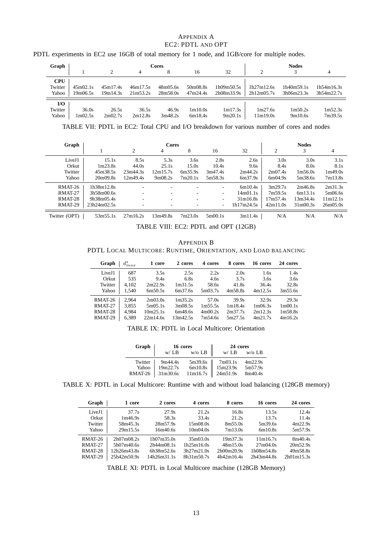#### APPENDIX A EC2: PDTL AND OPT

| PDTL experiments in EC2 use 16GB of total memory for 1 node, and 1GB/core for multiple nodes. |  |
|-----------------------------------------------------------------------------------------------|--|
|-----------------------------------------------------------------------------------------------|--|

| Graph      |                           |          |          | <b>Cores</b> |          |            |            | <b>Nodes</b>             |            |
|------------|---------------------------|----------|----------|--------------|----------|------------|------------|--------------------------|------------|
|            |                           | 2        | 4        |              | 16       | 32         | ◠          |                          | 4          |
| <b>CPU</b> |                           |          |          |              |          |            |            |                          |            |
| Twitter    | 45m02.1s                  | 45m17.4s | 46m17.5s | 48m05.6s     | 50m08.8s | 1h09m50.5s | 1h27m12.6s | 1h40m59.1s<br>3h06m23.3s | 1h54m16.3s |
| Yahoo      | 19m06.5s                  | 19m14.3s | 21m53.2s | 28m58.0s     | 47m24.4s | 2h08m33.9s | 2h12m05.7s |                          | 3h54m22.7s |
| I/O        |                           |          |          |              |          |            |            |                          |            |
| Twitter    | 36.0s                     | 26.5s    | 36.5s    | 46.9s        | 1m10.0s  | 1m17.3s    | 1m27.6s    | 1m50.2s                  | 1m52.3s    |
| Yahoo      | $1 \text{m}02.5 \text{s}$ | 2m02.7s  | 2m12.8s  | 3m48.2s      | 6m18.4s  | 9m20.1s    | 11m19.0s   | 9m10.6s                  | 7m39.5s    |

TABLE VII: PDTL in EC2: Total CPU and I/O breakdown for various number of cores and nodes

| Graph         |             | <b>Cores</b>             |                          |         |                          |            |                |                                   |             |
|---------------|-------------|--------------------------|--------------------------|---------|--------------------------|------------|----------------|-----------------------------------|-------------|
|               |             | 2                        | 4                        | 8       | 16                       | 32         | $\overline{c}$ | 3                                 | 4           |
| LiveJ1        | 15.1s       | 8.5s                     | 5.3s                     | 3.6s    | 2.8s                     | 2.6s       | 3.0s           | 3.0s                              | 3.1s        |
| Orkut         | 1m23.8s     | 44.0s                    | 25.1s                    | 15.0s   | 10.4s                    | 9.6s       | 8.4s           | 8.0s                              | 8.1s        |
| Twitter       | 45m38.5s    | 23m44.3s                 | 12m15.7s                 | 6m35.9s | 3m47.4s                  | 2m44.2s    | 2m07.4s        | 1m56.0s                           | 1m49.0s     |
| Yahoo         | 20m09.8s    | 12m49.4s                 | 9m08.2s                  | 7m20.1s | 5m58.3s                  | 6m37.9s    | 6m04.9s        | 5m38.6s                           | 7m13.8s     |
| RMAT-26       | 1h38m12.8s  |                          | -                        |         | -                        | 6m10.4s    | 3m29.7s        | 2m46.8s                           | 2m31.3s     |
| RMAT-27       | 3h58m00.6s  | $\overline{\phantom{a}}$ | $\sim$                   |         | ۰.                       | 14m01.1s   | 7m59.5s        | 6m13.1s                           | 5m06.6s     |
| RMAT-28       | 9h38m05.4s  | $\overline{\phantom{a}}$ | $\overline{\phantom{a}}$ |         | ۰                        | 31m16.8s   | 17m57.4s       | 13m34.4s                          | 11m12.1s    |
| RMAT-29       | 23h24m02.5s | $\overline{\phantom{a}}$ | $\overline{\phantom{a}}$ |         | $\overline{\phantom{a}}$ | 1h17m24.5s | 42m11.0s       | 31 <sub>m</sub> 00.3 <sub>s</sub> | 26m(0.5.0s) |
| Twitter (OPT) | 53m55.1s    | 27m16.2s                 | 13m49.8s                 | 7m23.0s | 5m00.1s                  | 3m11.4s    | N/A            | N/A                               | N/A         |

TABLE VIII: EC2: PDTL and OPT (12GB)

APPENDIX B PDTL LOCAL MULTICORE: RUNTIME, ORIENTATION, AND LOAD BALANCING

| Graph   | $d_{max}^*$ | 1 core   | 2 cores             | 4 cores | 8 cores | 16 cores | 24 cores             |
|---------|-------------|----------|---------------------|---------|---------|----------|----------------------|
| LiveJ1  | 687         | 3.5s     | 2.5s                | 2.2s    | 2.0s    | 1.6s     | 1.4s                 |
| Orkut   | 535         | 9.4s     | 6.8s                | 4.6s    | 3.7s    | 3.6s     | 3.6s                 |
| Twitter | 4.102       | 2m22.9s  | 1 <sub>m31.5s</sub> | 58.6s   | 41.8s   | 36.4s    | 32.8s                |
| Yahoo   | 1.540       | 6m50.5s  | 6m37.6s             | 5m03.7s | 4m58.8s | 4m12.5s  | 3m55.6s              |
| RMAT-26 | 2.964       | 2m03.0s  | 1 <sub>m35.2s</sub> | 57.0s   | 39.9s   | 32.9s    | 29.3s                |
| RMAT-27 | 3.855       | 5m05.1s  | 3m08.5s             | 1m55.5s | 1m18.4s | 1m06.3s  | 1 <sub>m</sub> 00.1s |
| RMAT-28 | 4.984       | 10m25.1s | 6m48.6s             | 4m00.2s | 2m37.7s | 2m12.3s  | 1m58.8s              |
| RMAT-29 | 6,389       | 22m14.6s | 13m42.5s            | 7m54.6s | 5m27.5s | 4m21.7s  | 4m16.2s              |

TABLE IX: PDTL in Local Multicore: Orientation

| Graph   |          | 16 cores              | 24 cores |          |
|---------|----------|-----------------------|----------|----------|
|         | w / LB   | $w/o$ LB $  $         | W/LB     | $w/o$ LB |
| Twitter | 9m44.4s  | $5m39.6s$ $\parallel$ | 7m03.1s  | 4m22.9s  |
| Yahoo   | 19m22.7s |                       | 15m23.9s | 5m57.9s  |
| RMAT-26 | 31m30.6s | 11m16.7s              | 24m51.9s | 8m40.4s  |

TABLE X: PDTL in Local Multicore: Runtime with and without load balancing (128GB memory)

| Graph   | 1 core      | 2 cores     | 4 cores    | 8 cores              | 16 cores   | 24 cores   |
|---------|-------------|-------------|------------|----------------------|------------|------------|
| LiveJ1  | 37.7s       | 27.9s       | 21.2s      | 16.8s                | 13.5s      | 12.4s      |
| Orkut   | 1m46.9s     | 58.3s       | 33.4s      | 21.2s                | 13.7s      | 11.4s      |
| Twitter | 58m45.3s    | 28m57.9s    | 15m08.0s   | 8m55.0s              | 5m39.6s    | 4m22.9s    |
| Yahoo   | 29m15.5s    | 16m40.6s    | 10m04.0s   | 7m13.0s              | 6m10.8s    | 5m57.9s    |
| RMAT-26 | 2h07m08.2s  | 1h07m35.0s  | 35m03.0s   | 19 <sub>m37.3s</sub> | 11m16.7s   | 8m40.4s    |
| RMAT-27 | 5h07m40.6s  | 2h44m08.1s  | 1h25m16.0s | 48m15.0s             | 27m04.0s   | 20m52.9s   |
| RMAT-28 | 12h26m43.8s | 6h38m52.6s  | 3h27m21.0s | 2h00m20.9s           | 1h08m54.8s | 49m58.8s   |
| RMAT-29 | 25h42m50.9s | 14h26m31.1s | 8h31m50.7s | 4h42m164s            | 2h43m44.8s | 2h01m15.3s |

TABLE XI: PDTL in Local Multicore machine (128GB Memory)